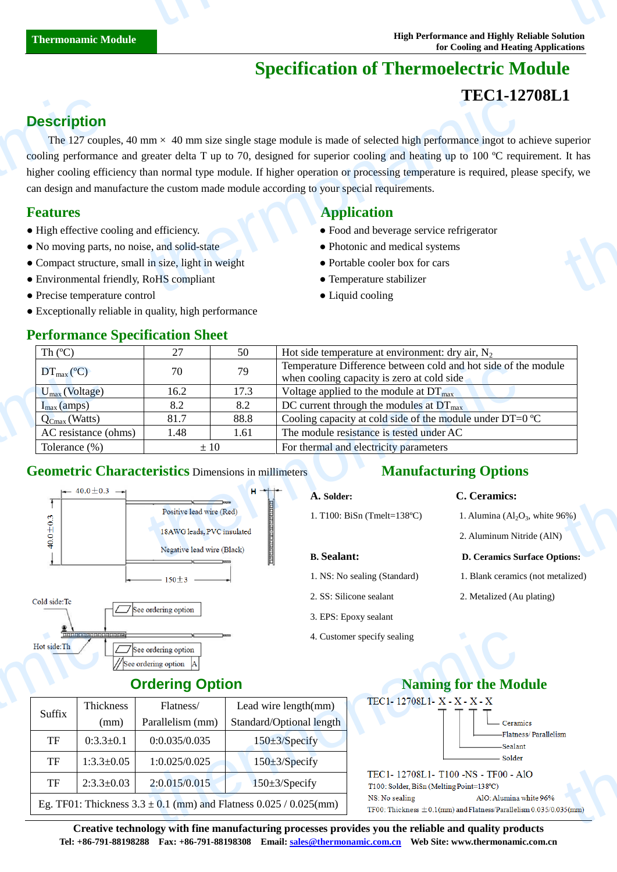# **Specification of Thermoelectric Module**

# **TEC1-12708L1**

# **Description**

The 127 couples, 40 mm  $\times$  40 mm size single stage module is made of selected high performance ingot to achieve superior cooling performance and greater delta T up to 70, designed for superior cooling and heating up to 100  $\degree$ C requirement. It has higher cooling efficiency than normal type module. If higher operation or processing temperature is required, please specify, we can design and manufacture the custom made module according to your special requirements. **Description**<br>The 127 coup<br>cooling performan<br>higher cooling efficant design and ma<br>**Features**<br>• High effective co<br>• No moving parts<br>• Compact structu<br>• Environmental f  $\times$  40 mm size single stage module is made of selected high performance ingot to a<br>greater delta T up to 70, designed for superior cooling and heating up to 100  $\mathbb C$  requestion<br>han normal type module. If higher operati uperior<br>It has<br>ify, we

- 
- No moving parts, no noise, and solid-state Photonic and medical systems
- Compact structure, small in size, light in weight Portable cooler box for cars
- Environmental friendly, RoHS compliant Temperature stabilizer
- Precise temperature control Liquid cooling
- Exceptionally reliable in quality, high performance

### **Performance Specification Sheet**

## **Features Application Application**

- High effective cooling and efficiency. Food and beverage service refrigerator
	-
	-
	-
	-

| Th $(C)$                                                                                            | 27                                                 | 50                         | Hot side temperature at environment: dry air, $N_2$                                                          |                                                                |  |
|-----------------------------------------------------------------------------------------------------|----------------------------------------------------|----------------------------|--------------------------------------------------------------------------------------------------------------|----------------------------------------------------------------|--|
| $DT_{\text{max}}(\mathbb{C})$                                                                       | 70                                                 | 79                         | Temperature Difference between cold and hot side of the module<br>when cooling capacity is zero at cold side |                                                                |  |
| $U_{\text{max}}$ (Voltage)                                                                          | 16.2                                               | 17.3                       | Voltage applied to the module at $DT_{\text{max}}$                                                           |                                                                |  |
| $I_{max}(amps)$                                                                                     | 8.2                                                | 8.2                        | DC current through the modules at $DT_{\text{max}}$                                                          |                                                                |  |
| $Q_{\text{Cmax}}$ (Watts)                                                                           | 81.7                                               | 88.8                       | Cooling capacity at cold side of the module under DT=0 $\mathbb{C}$                                          |                                                                |  |
| AC resistance (ohms)                                                                                | 1.48                                               | 1.61                       | The module resistance is tested under AC                                                                     |                                                                |  |
| Tolerance (%)                                                                                       | For thermal and electricity parameters<br>$\pm 10$ |                            |                                                                                                              |                                                                |  |
|                                                                                                     |                                                    |                            |                                                                                                              |                                                                |  |
| <b>Geometric Characteristics Dimensions in millimeters</b><br>$\leftarrow$ 40.0 ± 0.3 $\rightarrow$ |                                                    | $H = + +$                  | A. Solder:                                                                                                   | <b>Manufacturing Options</b><br>C. Ceramics:                   |  |
|                                                                                                     | Positive lead wire (Red)                           |                            | 1. T100: BiSn (Tmelt=138 $\mathbb{C}$ )                                                                      | 1. Alumina $\left( \text{Al}_2\text{O}_3 \right)$ , white 96%) |  |
|                                                                                                     |                                                    | 18AWG leads, PVC insulated |                                                                                                              | 2. Aluminum Nitride (AlN)                                      |  |

### **Geometric Characteristics** Dimensions in millimeters



# **Manufacturing Options**

#### **A. Solder: C. Ceramics:**

- **B. Sealant: D. Ceramics Surface Options:**
- 1. NS: No sealing (Standard) 1. Blank ceramics (not metalized)
- 2. SS: Silicone sealant 2. Metalized (Au plating)
- 3. EPS: Epoxy sealant
- 4. Customer specify sealing

### **Ordering Option**

|           |                   | $\Box$ See ordering option                                                                | 4. Customer specify sealing                        |                                                                                                                                                                                                                                               |
|-----------|-------------------|-------------------------------------------------------------------------------------------|----------------------------------------------------|-----------------------------------------------------------------------------------------------------------------------------------------------------------------------------------------------------------------------------------------------|
|           |                   |                                                                                           | <b>Naming for the Moo</b>                          |                                                                                                                                                                                                                                               |
| Suffix    | Thickness<br>(mm) | Flatness/<br>Parallelism (mm)                                                             | Lead wire $length(mm)$<br>Standard/Optional length | TEC1-12708L1-X-X-X-X<br>Ceram                                                                                                                                                                                                                 |
| <b>TF</b> | $0:3.3 \pm 0.1$   | 0:0.035/0.035                                                                             | $150 \pm 3$ /Specify                               | -Flatnes<br>-Sealan                                                                                                                                                                                                                           |
| <b>TF</b> | $1:3.3 \pm 0.05$  | 1:0.025/0.025                                                                             | $150 \pm 3$ /Specify                               | Solder                                                                                                                                                                                                                                        |
| <b>TF</b> | $2:3.3 \pm 0.03$  | 2:0.015/0.015                                                                             | $150 \pm 3$ /Specify                               | TEC1-12708L1-T100-NS-TF00-A<br>T100: Solder, BiSn (Melting Point=138°C)                                                                                                                                                                       |
|           |                   | AlO: Alumina y<br>NS: No sealing<br>TF00: Thickness $\pm$ 0.1(mm) and Flatness/Parallelis |                                                    |                                                                                                                                                                                                                                               |
|           |                   |                                                                                           | //See ordering option                              | <b>Ordering Option</b><br>Eg. TF01: Thickness $3.3 \pm 0.1$ (mm) and Flatness $0.025 / 0.025$ (mm)<br>$\alpha$ and the state of the state $\alpha$ , and $\alpha$ is a sequence of the state of the state of $\alpha$ . The state of $\alpha$ |



**Creative technology with fine manufacturing processes provides you the reliable and quality products Tel: +86-791-88198288 Fax: +86-791-88198308 Email: sales@thermonamic.com.cn Web Site: www.thermonamic.com.cn**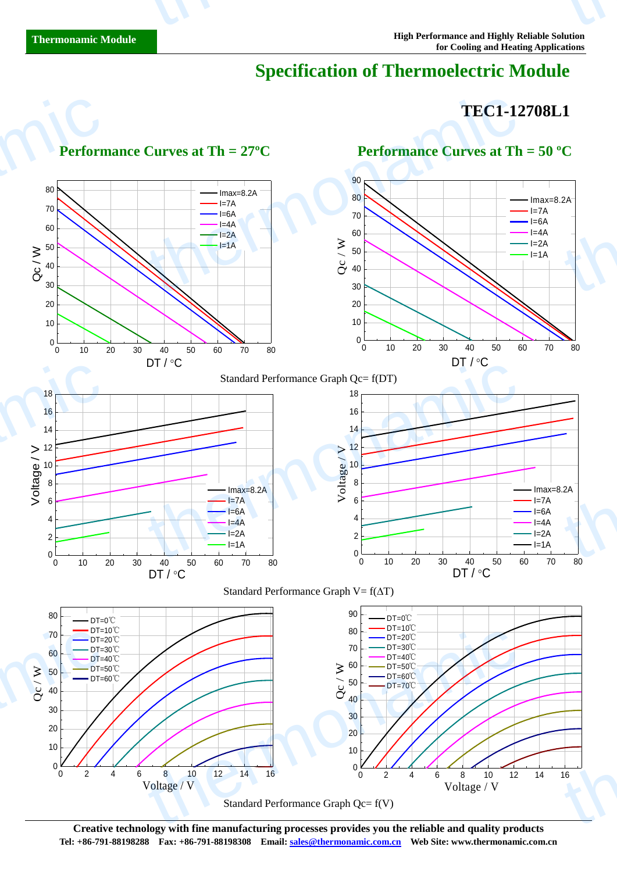# **Specification of Thermoelectric Module**

# **TEC1-12708L1**



**Creative technology with fine manufacturing processes provides you the reliable and quality products Tel: +86-791-88198288 Fax: +86-791-88198308 Email: sales@thermonamic.com.cn Web Site: www.thermonamic.com.cn**